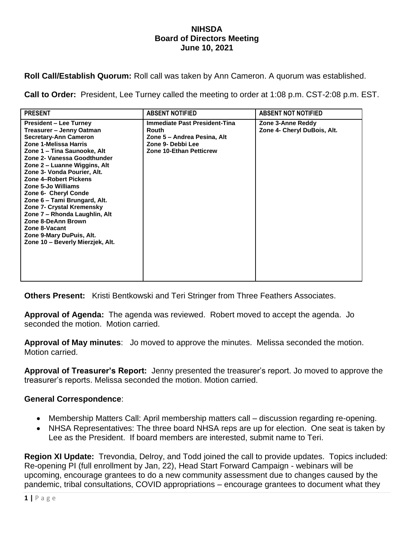## **NIHSDA Board of Directors Meeting June 10, 2021**

**Roll Call/Establish Quorum:** Roll call was taken by Ann Cameron. A quorum was established.

**Call to Order:** President, Lee Turney called the meeting to order at 1:08 p.m. CST-2:08 p.m. EST.

| <b>PRESENT</b>                                                                                                                                                                                                                                                                                                                                                                                                                                                                                                                     | <b>ABSENT NOTIFIED</b>                                                                                                              | <b>ABSENT NOT NOTIFIED</b>                       |
|------------------------------------------------------------------------------------------------------------------------------------------------------------------------------------------------------------------------------------------------------------------------------------------------------------------------------------------------------------------------------------------------------------------------------------------------------------------------------------------------------------------------------------|-------------------------------------------------------------------------------------------------------------------------------------|--------------------------------------------------|
| <b>President – Lee Turney</b><br>Treasurer – Jenny Oatman<br><b>Secretary-Ann Cameron</b><br>Zone 1-Melissa Harris<br>Zone 1 - Tina Saunooke, Alt<br>Zone 2- Vanessa Goodthunder<br>Zone 2 – Luanne Wiggins, Alt<br>Zone 3- Vonda Pourier, Alt.<br>Zone 4-Robert Pickens<br><b>Zone 5-Jo Williams</b><br>Zone 6- Cheryl Conde<br>Zone 6 - Tami Brungard, Alt.<br>Zone 7- Crystal Kremensky<br>Zone 7 - Rhonda Laughlin, Alt<br>Zone 8-DeAnn Brown<br>Zone 8-Vacant<br>Zone 9-Mary DuPuis, Alt.<br>Zone 10 - Beverly Mierzjek, Alt. | <b>Immediate Past President-Tina</b><br>Routh<br>Zone 5 - Andrea Pesina, Alt<br>Zone 9- Debbi Lee<br><b>Zone 10-Ethan Petticrew</b> | Zone 3-Anne Reddy<br>Zone 4- Cheryl DuBois, Alt. |

**Others Present:** Kristi Bentkowski and Teri Stringer from Three Feathers Associates.

**Approval of Agenda:** The agenda was reviewed. Robert moved to accept the agenda. Jo seconded the motion. Motion carried.

**Approval of May minutes**: Jo moved to approve the minutes. Melissa seconded the motion. Motion carried.

**Approval of Treasurer's Report:** Jenny presented the treasurer's report. Jo moved to approve the treasurer's reports. Melissa seconded the motion. Motion carried.

## **General Correspondence**:

- Membership Matters Call: April membership matters call discussion regarding re-opening.
- NHSA Representatives: The three board NHSA reps are up for election. One seat is taken by Lee as the President. If board members are interested, submit name to Teri.

**Region XI Update:** Trevondia, Delroy, and Todd joined the call to provide updates. Topics included: Re-opening PI (full enrollment by Jan, 22), Head Start Forward Campaign - webinars will be upcoming, encourage grantees to do a new community assessment due to changes caused by the pandemic, tribal consultations, COVID appropriations – encourage grantees to document what they